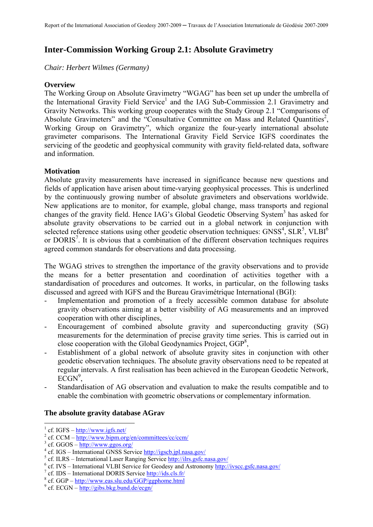# **Inter-Commission Working Group 2.1: Absolute Gravimetry**

*Chair: Herbert Wilmes (Germany)* 

# **Overview**

The Working Group on Absolute Gravimetry "WGAG" has been set up under the umbrella of the International Gravity Field Service<sup>1</sup> and the IAG Sub-Commission 2.1 Gravimetry and Gravity Networks. This working group cooperates with the Study Group 2.1 "Comparisons of Absolute Gravimeters" and the "Consultative Committee on Mass and Related Quantities<sup>2</sup>, Working Group on Gravimetry", which organize the four-yearly international absolute gravimeter comparisons. The International Gravity Field Service IGFS coordinates the servicing of the geodetic and geophysical community with gravity field-related data, software and information.

# **Motivation**

Absolute gravity measurements have increased in significance because new questions and fields of application have arisen about time-varying geophysical processes. This is underlined by the continuously growing number of absolute gravimeters and observations worldwide. New applications are to monitor, for example, global change, mass transports and regional changes of the gravity field. Hence IAG's Global Geodetic Observing System<sup>3</sup> has asked for absolute gravity observations to be carried out in a global network in conjunction with selected reference stations using other geodetic observation techniques:  $GNSS^4$ ,  $SLR^5$ ,  $VLBI^6$ or DORIS<sup>7</sup>. It is obvious that a combination of the different observation techniques requires agreed common standards for observations and data processing.

The WGAG strives to strengthen the importance of the gravity observations and to provide the means for a better presentation and coordination of activities together with a standardisation of procedures and outcomes. It works, in particular, on the following tasks discussed and agreed with IGFS and the Bureau Gravimétrique International (BGI):

- Implementation and promotion of a freely accessible common database for absolute gravity observations aiming at a better visibility of AG measurements and an improved cooperation with other disciplines,
- Encouragement of combined absolute gravity and superconducting gravity (SG) measurements for the determination of precise gravity time series. This is carried out in close cooperation with the Global Geodynamics Project, GGP<sup>8</sup>,
- Establishment of a global network of absolute gravity sites in conjunction with other geodetic observation techniques. The absolute gravity observations need to be repeated at regular intervals. A first realisation has been achieved in the European Geodetic Network,  $\tilde{ECGN}^9$ ,
- Standardisation of AG observation and evaluation to make the results compatible and to enable the combination with geometric observations or complementary information.

### **The absolute gravity database AGrav**

1

<sup>&</sup>lt;sup>1</sup> cf. IGFS –  $\frac{http://www.igfs.net/}{http://www.igfs.net/}$ 

<sup>&</sup>lt;sup>2</sup> cf. CCM – http://www.bipm.org/en/committees/cc/ccm/

 $3 \text{ cf. GGOS} - \frac{\text{http://www.ggos.org/}}{\text{http://www.ggos.org/}}$ 

<sup>&</sup>lt;sup>4</sup> cf. IGS – International GNSS Service http://igscb.jpl.nasa.gov/

 $\frac{1}{s}$  cf. ILRS – International Laser Ranging Service http://ilrs.gsfc.nasa.gov/

<sup>&</sup>lt;sup>6</sup> cf. IVS – International VLBI Service for Geodesy and Astronomy http://ivscc.gsfc.nasa.gov/

 $\frac{7}{1}$  cf. IDS – International DORIS Service  $\frac{http://ids.class.fr/}{http://ids.class.fr/}$ 

 $8$  cf. GGP – http://www.eas.slu.edu/GGP/ggphome.html

 $\degree$  cf. ECGN  $\overline{-$  http://gibs.bkg.bund.de/ecgn/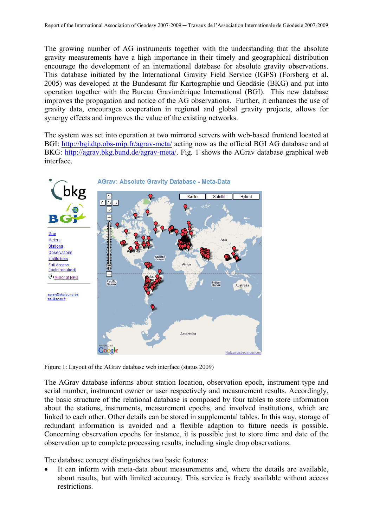The growing number of AG instruments together with the understanding that the absolute gravity measurements have a high importance in their timely and geographical distribution encourage the development of an international database for absolute gravity observations. This database initiated by the International Gravity Field Service (IGFS) (Forsberg et al. 2005) was developed at the Bundesamt für Kartographie und Geodäsie (BKG) and put into operation together with the Bureau Gravimétrique International (BGI). This new database improves the propagation and notice of the AG observations. Further, it enhances the use of gravity data, encourages cooperation in regional and global gravity projects, allows for synergy effects and improves the value of the existing networks.

The system was set into operation at two mirrored servers with web-based frontend located at BGI: http://bgi.dtp.obs-mip.fr/agrav-meta/ acting now as the official BGI AG database and at BKG: http://agrav.bkg.bund.de/agrav-meta/. Fig. 1 shows the AGrav database graphical web interface.



Figure 1: Layout of the AGrav database web interface (status 2009)

The AGrav database informs about station location, observation epoch, instrument type and serial number, instrument owner or user respectively and measurement results. Accordingly, the basic structure of the relational database is composed by four tables to store information about the stations, instruments, measurement epochs, and involved institutions, which are linked to each other. Other details can be stored in supplemental tables. In this way, storage of redundant information is avoided and a flexible adaption to future needs is possible. Concerning observation epochs for instance, it is possible just to store time and date of the observation up to complete processing results, including single drop observations.

The database concept distinguishes two basic features:

It can inform with meta-data about measurements and, where the details are available, about results, but with limited accuracy. This service is freely available without access restrictions.